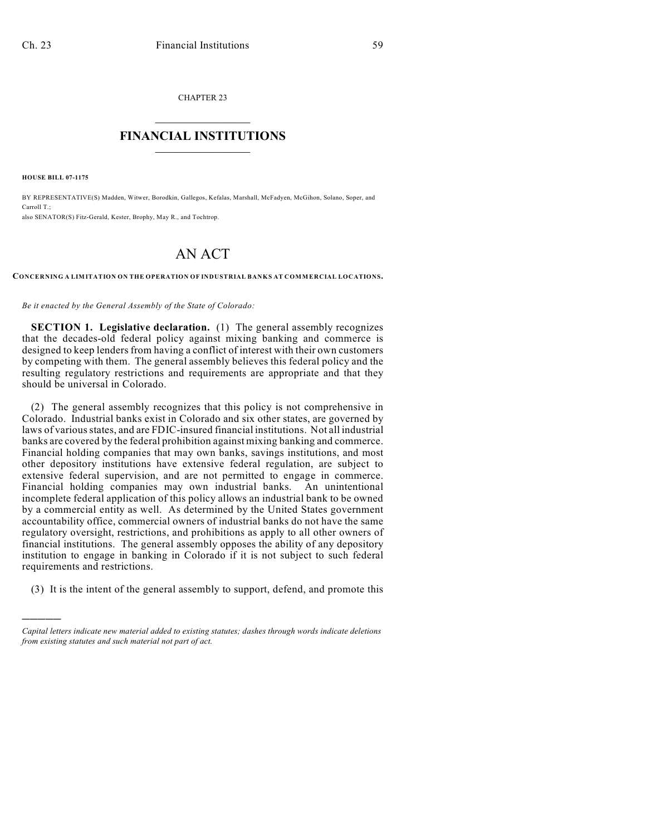CHAPTER 23

## $\mathcal{L}_\text{max}$  . The set of the set of the set of the set of the set of the set of the set of the set of the set of the set of the set of the set of the set of the set of the set of the set of the set of the set of the set **FINANCIAL INSTITUTIONS**  $\frac{1}{2}$  ,  $\frac{1}{2}$  ,  $\frac{1}{2}$  ,  $\frac{1}{2}$  ,  $\frac{1}{2}$  ,  $\frac{1}{2}$  ,  $\frac{1}{2}$

**HOUSE BILL 07-1175**

)))))

BY REPRESENTATIVE(S) Madden, Witwer, Borodkin, Gallegos, Kefalas, Marshall, McFadyen, McGihon, Solano, Soper, and Carroll T.; also SENATOR(S) Fitz-Gerald, Kester, Brophy, May R., and Tochtrop.

## AN ACT

**CONCERNING A LIMITATION ON THE OPERATION OF INDUSTRIAL BANKS AT COMMERCIAL LOCATIONS.**

*Be it enacted by the General Assembly of the State of Colorado:*

**SECTION 1. Legislative declaration.** (1) The general assembly recognizes that the decades-old federal policy against mixing banking and commerce is designed to keep lenders from having a conflict of interest with their own customers by competing with them. The general assembly believes this federal policy and the resulting regulatory restrictions and requirements are appropriate and that they should be universal in Colorado.

(2) The general assembly recognizes that this policy is not comprehensive in Colorado. Industrial banks exist in Colorado and six other states, are governed by laws of various states, and are FDIC-insured financial institutions. Not all industrial banks are covered by the federal prohibition against mixing banking and commerce. Financial holding companies that may own banks, savings institutions, and most other depository institutions have extensive federal regulation, are subject to extensive federal supervision, and are not permitted to engage in commerce. Financial holding companies may own industrial banks. An unintentional incomplete federal application of this policy allows an industrial bank to be owned by a commercial entity as well. As determined by the United States government accountability office, commercial owners of industrial banks do not have the same regulatory oversight, restrictions, and prohibitions as apply to all other owners of financial institutions. The general assembly opposes the ability of any depository institution to engage in banking in Colorado if it is not subject to such federal requirements and restrictions.

(3) It is the intent of the general assembly to support, defend, and promote this

*Capital letters indicate new material added to existing statutes; dashes through words indicate deletions from existing statutes and such material not part of act.*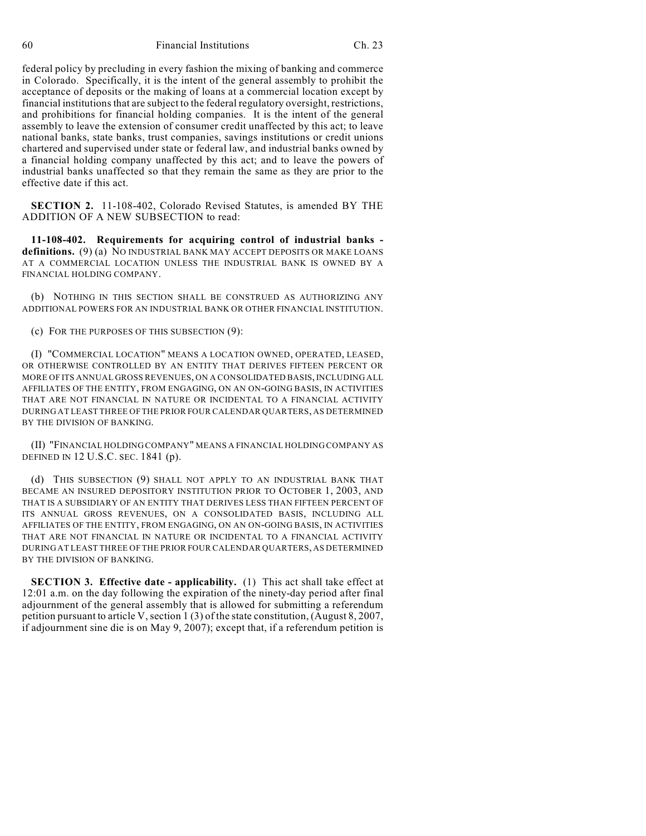60 Financial Institutions Ch. 23

federal policy by precluding in every fashion the mixing of banking and commerce in Colorado. Specifically, it is the intent of the general assembly to prohibit the acceptance of deposits or the making of loans at a commercial location except by financial institutions that are subject to the federal regulatory oversight, restrictions, and prohibitions for financial holding companies. It is the intent of the general assembly to leave the extension of consumer credit unaffected by this act; to leave national banks, state banks, trust companies, savings institutions or credit unions chartered and supervised under state or federal law, and industrial banks owned by a financial holding company unaffected by this act; and to leave the powers of industrial banks unaffected so that they remain the same as they are prior to the effective date if this act.

**SECTION 2.** 11-108-402, Colorado Revised Statutes, is amended BY THE ADDITION OF A NEW SUBSECTION to read:

**11-108-402. Requirements for acquiring control of industrial banks definitions.** (9) (a) NO INDUSTRIAL BANK MAY ACCEPT DEPOSITS OR MAKE LOANS AT A COMMERCIAL LOCATION UNLESS THE INDUSTRIAL BANK IS OWNED BY A FINANCIAL HOLDING COMPANY.

(b) NOTHING IN THIS SECTION SHALL BE CONSTRUED AS AUTHORIZING ANY ADDITIONAL POWERS FOR AN INDUSTRIAL BANK OR OTHER FINANCIAL INSTITUTION.

(c) FOR THE PURPOSES OF THIS SUBSECTION (9):

(I) "COMMERCIAL LOCATION" MEANS A LOCATION OWNED, OPERATED, LEASED, OR OTHERWISE CONTROLLED BY AN ENTITY THAT DERIVES FIFTEEN PERCENT OR MORE OF ITS ANNUAL GROSS REVENUES, ON A CONSOLIDATED BASIS, INCLUDING ALL AFFILIATES OF THE ENTITY, FROM ENGAGING, ON AN ON-GOING BASIS, IN ACTIVITIES THAT ARE NOT FINANCIAL IN NATURE OR INCIDENTAL TO A FINANCIAL ACTIVITY DURING AT LEAST THREE OF THE PRIOR FOUR CALENDAR QUARTERS, AS DETERMINED BY THE DIVISION OF BANKING.

(II) "FINANCIAL HOLDING COMPANY" MEANS A FINANCIAL HOLDING COMPANY AS DEFINED IN 12 U.S.C. SEC. 1841 (p).

(d) THIS SUBSECTION (9) SHALL NOT APPLY TO AN INDUSTRIAL BANK THAT BECAME AN INSURED DEPOSITORY INSTITUTION PRIOR TO OCTOBER 1, 2003, AND THAT IS A SUBSIDIARY OF AN ENTITY THAT DERIVES LESS THAN FIFTEEN PERCENT OF ITS ANNUAL GROSS REVENUES, ON A CONSOLIDATED BASIS, INCLUDING ALL AFFILIATES OF THE ENTITY, FROM ENGAGING, ON AN ON-GOING BASIS, IN ACTIVITIES THAT ARE NOT FINANCIAL IN NATURE OR INCIDENTAL TO A FINANCIAL ACTIVITY DURING AT LEAST THREE OF THE PRIOR FOUR CALENDAR QUARTERS, AS DETERMINED BY THE DIVISION OF BANKING.

**SECTION 3. Effective date - applicability.** (1) This act shall take effect at 12:01 a.m. on the day following the expiration of the ninety-day period after final adjournment of the general assembly that is allowed for submitting a referendum petition pursuant to article V, section 1 (3) of the state constitution, (August 8, 2007, if adjournment sine die is on May 9, 2007); except that, if a referendum petition is